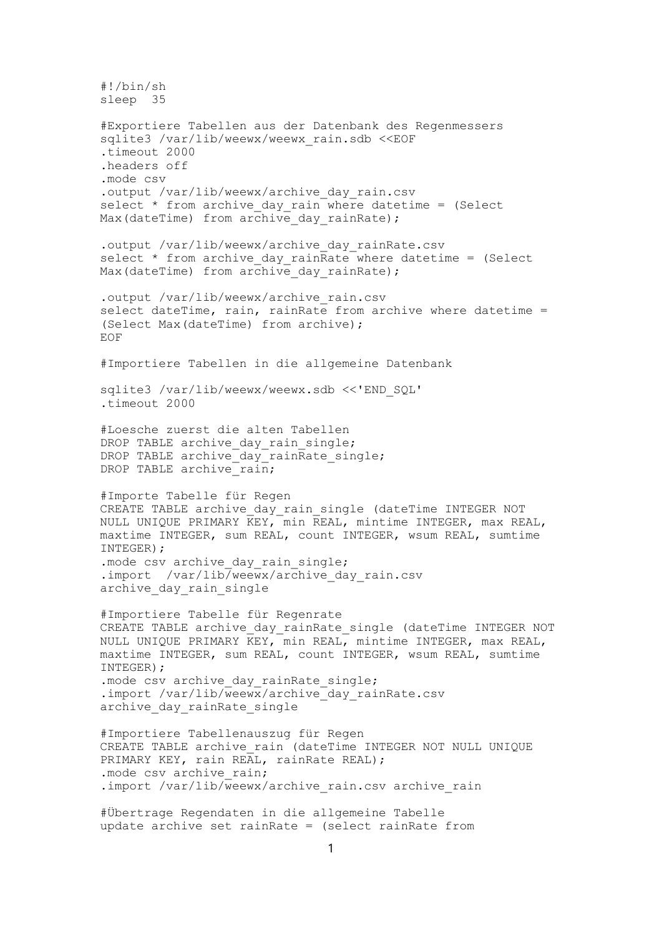#!/bin/sh sleep 35 #Exportiere Tabellen aus der Datenbank des Regenmessers sqlite3 /var/lib/weewx/weewx rain.sdb <<EOF .timeout 2000 .headers off .mode csv .output /var/lib/weewx/archive day rain.csv select  $*$  from archive day rain where datetime = (Select Max(dateTime) from archive day rainRate); .output /var/lib/weewx/archive\_day\_rainRate.csv select  $*$  from archive day rainRate where datetime = (Select Max(dateTime) from archive day rainRate); .output /var/lib/weewx/archive rain.csv select dateTime, rain, rainRate from archive where datetime = (Select Max(dateTime) from archive); EOF #Importiere Tabellen in die allgemeine Datenbank sqlite3 /var/lib/weewx/weewx.sdb <<'END SQL' .timeout 2000 #Loesche zuerst die alten Tabellen DROP TABLE archive\_day\_rain\_single; DROP TABLE archive\_day\_rainRate\_single; DROP TABLE archive  $rain;$ #Importe Tabelle für Regen CREATE TABLE archive day rain single (dateTime INTEGER NOT NULL UNIQUE PRIMARY KEY, min REAL, mintime INTEGER, max REAL, maxtime INTEGER, sum REAL, count INTEGER, wsum REAL, sumtime INTEGER); .mode csv archive day rain single; .import /var/lib/weewx/archive day rain.csv archive day rain single #Importiere Tabelle für Regenrate CREATE TABLE archive day rainRate single (dateTime INTEGER NOT NULL UNIQUE PRIMARY KEY, min REAL, mintime INTEGER, max REAL, maxtime INTEGER, sum REAL, count INTEGER, wsum REAL, sumtime INTEGER); .mode csv archive day rainRate single; .import /var/lib/weewx/archive day rainRate.csv archive day rainRate single #Importiere Tabellenauszug für Regen CREATE TABLE archive rain (dateTime INTEGER NOT NULL UNIQUE PRIMARY KEY, rain REAL, rainRate REAL); .mode csv archive rain; .import /var/lib/weewx/archive rain.csv archive rain #Übertrage Regendaten in die allgemeine Tabelle update archive set rainRate = (select rainRate from